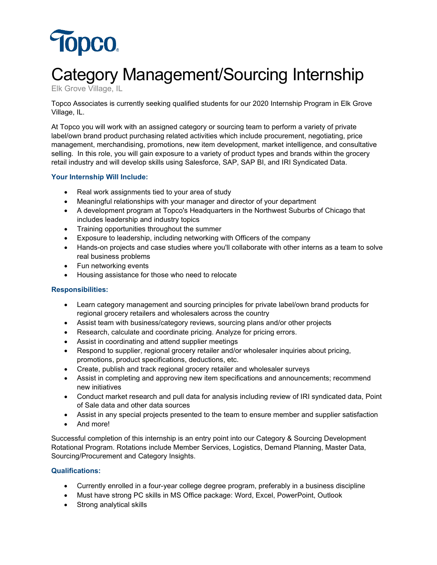

# Category Management/Sourcing Internship

Elk Grove Village, IL

Topco Associates is currently seeking qualified students for our 2020 Internship Program in Elk Grove Village, IL.

At Topco you will work with an assigned category or sourcing team to perform a variety of private label/own brand product purchasing related activities which include procurement, negotiating, price management, merchandising, promotions, new item development, market intelligence, and consultative selling. In this role, you will gain exposure to a variety of product types and brands within the grocery retail industry and will develop skills using Salesforce, SAP, SAP BI, and IRI Syndicated Data.

## **Your Internship Will Include:**

- Real work assignments tied to your area of study
- Meaningful relationships with your manager and director of your department
- A development program at Topco's Headquarters in the Northwest Suburbs of Chicago that includes leadership and industry topics
- Training opportunities throughout the summer
- Exposure to leadership, including networking with Officers of the company
- Hands-on projects and case studies where you'll collaborate with other interns as a team to solve real business problems
- Fun networking events
- Housing assistance for those who need to relocate

#### **Responsibilities:**

- Learn category management and sourcing principles for private label/own brand products for regional grocery retailers and wholesalers across the country
- Assist team with business/category reviews, sourcing plans and/or other projects
- Research, calculate and coordinate pricing. Analyze for pricing errors.
- Assist in coordinating and attend supplier meetings
- Respond to supplier, regional grocery retailer and/or wholesaler inquiries about pricing, promotions, product specifications, deductions, etc.
- Create, publish and track regional grocery retailer and wholesaler surveys
- Assist in completing and approving new item specifications and announcements; recommend new initiatives
- Conduct market research and pull data for analysis including review of IRI syndicated data, Point of Sale data and other data sources
- Assist in any special projects presented to the team to ensure member and supplier satisfaction
- And more!

Successful completion of this internship is an entry point into our Category & Sourcing Development Rotational Program. Rotations include Member Services, Logistics, Demand Planning, Master Data, Sourcing/Procurement and Category Insights.

## **Qualifications:**

- Currently enrolled in a four-year college degree program, preferably in a business discipline
- Must have strong PC skills in MS Office package: Word, Excel, PowerPoint, Outlook
- Strong analytical skills